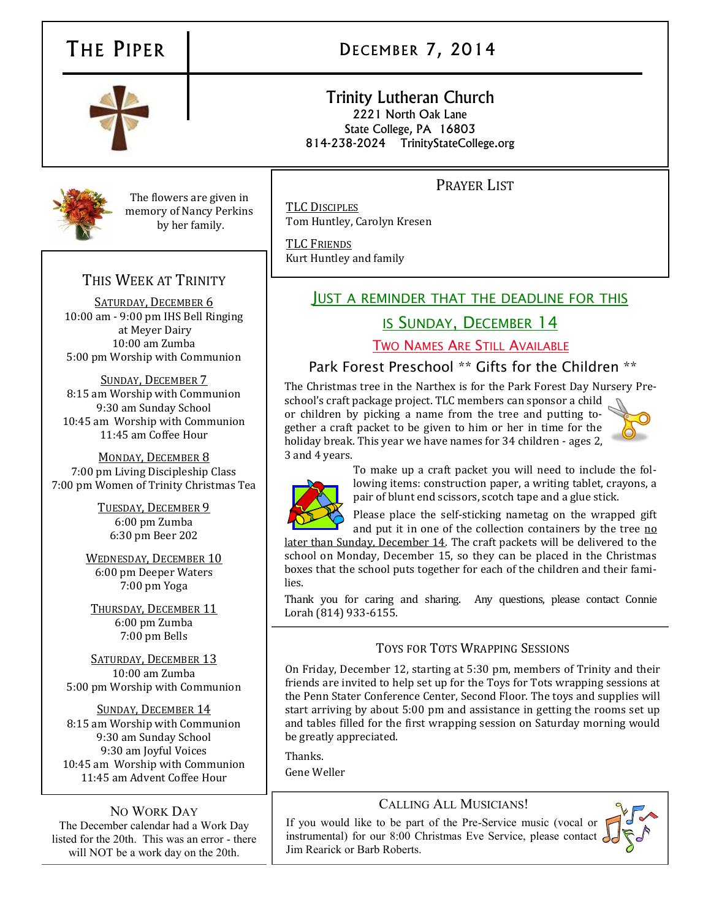# THE PIPER | DECEMBER 7, 2014

### Trinity Lutheran Church 2221 North Oak Lane State College, PA 16803 814-238-2024 TrinityStateCollege.org

# PRAYER LIST

TLC DISCIPLES Tom Huntley, Carolyn Kresen

TLC FRIENDS Kurt Huntley and family

## JUST A REMINDER THAT THE DEADLINE FOR THIS

# IS SUNDAY, DECEMBER 14

TWO NAMES ARE STILL AVAILABLE

## Park Forest Preschool \*\* Gifts for the Children \*\*

The Christmas tree in the Narthex is for the Park Forest Day Nursery Pre-

school's craft package project. TLC members can sponsor a child or children by picking a name from the tree and putting together a craft packet to be given to him or her in time for the holiday break. This year we have names for 34 children - ages 2, 3 and 4 years.





To make up a craft packet you will need to include the following items: construction paper, a writing tablet, crayons, a pair of blunt end scissors, scotch tape and a glue stick.

Please place the self-sticking nametag on the wrapped gift and put it in one of the collection containers by the tree no

later than Sunday, December 14. The craft packets will be delivered to the school on Monday, December 15, so they can be placed in the Christmas boxes that the school puts together for each of the children and their families.

Thank you for caring and sharing. Any questions, please contact Connie Lorah (814) 933-6155.

## TOYS FOR TOTS WRAPPING SESSIONS

On Friday, December 12, starting at 5:30 pm, members of Trinity and their friends are invited to help set up for the Toys for Tots wrapping sessions at the Penn Stater Conference Center, Second Floor. The toys and supplies will start arriving by about 5:00 pm and assistance in getting the rooms set up and tables filled for the first wrapping session on Saturday morning would be greatly appreciated.

Thanks.

Gene Weller

## CALLING ALL MUSICIANS!

If you would like to be part of the Pre-Service music (vocal or instrumental) for our 8:00 Christmas Eve Service, please contact Jim Rearick or Barb Roberts.



NO WORK DAY

The December calendar had a Work Day listed for the 20th. This was an error - there will NOT be a work day on the 20th.



The flowers are given in memory of Nancy Perkins by her family.

# THIS WEEK AT TRINITY

SATURDAY, DECEMBER 6 10:00 am - 9:00 pm IHS Bell Ringing at Meyer Dairy 10:00 am Zumba 5:00 pm Worship with Communion

SUNDAY, DECEMBER 7 8:15 am Worship with Communion 9:30 am Sunday School 10:45 am Worship with Communion 11:45 am Coffee Hour

MONDAY, DECEMBER 8 7:00 pm Living Discipleship Class 7:00 pm Women of Trinity Christmas Tea

> TUESDAY, DECEMBER 9 6:00 pm Zumba 6:30 pm Beer 202

WEDNESDAY, DECEMBER 10 6:00 pm Deeper Waters 7:00 pm Yoga

THURSDAY, DECEMBER 11 6:00 pm Zumba 7:00 pm Bells

SATURDAY, DECEMBER 13 10:00 am Zumba 5:00 pm Worship with Communion

SUNDAY, DECEMBER 14 8:15 am Worship with Communion 9:30 am Sunday School 9:30 am Joyful Voices 10:45 am Worship with Communion 11:45 am Advent Coffee Hour